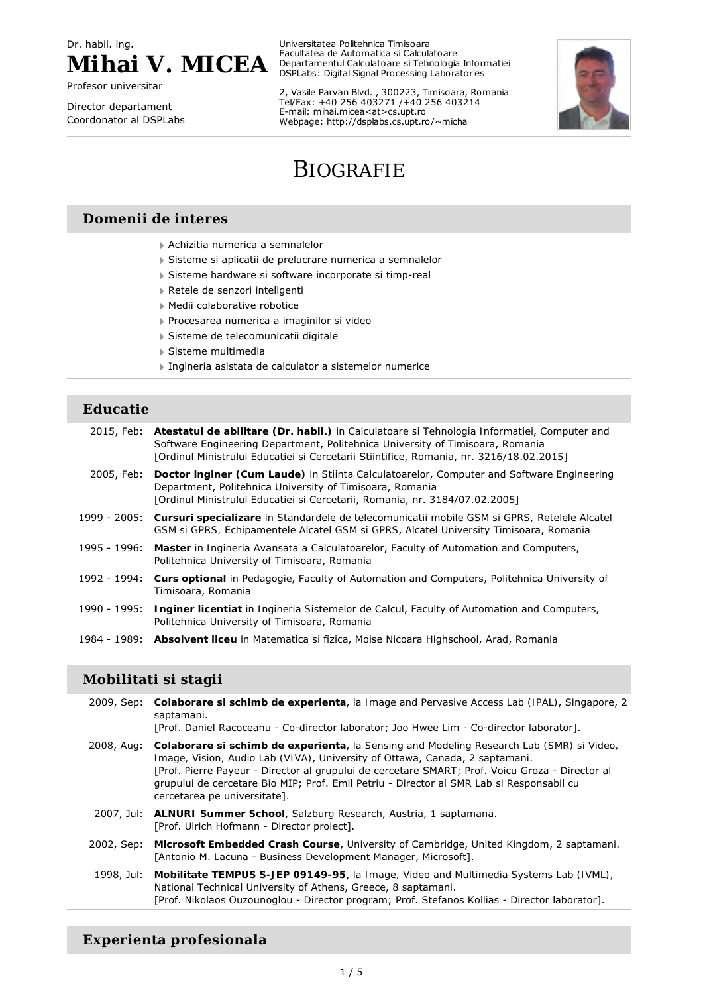Dr. habil. ing.



Profesor universitar

Director departament Coordonator al DSPLabs Universitatea Politehnica Timisoara Facultatea de Automatica si Calculatoare Departamentul Calculatoare si Tehnologia Informatiei DSPLabs: Digital Signal Processing Laboratories

2, Vasile Parvan Blvd. , 300223, Timisoara, Romania Tel/Fax: +40 256 403271 /+40 256 403214 E-mail: mihai.micea<at>cs.upt.ro Webpage: http://dsplabs.cs.upt.ro/~micha



# BIOGRAFIE

#### **Domenii de interes**

- Achizitia numerica a semnalelor
- Sisteme si aplicatii de prelucrare numerica a semnalelor
- Sisteme hardware si software incorporate si timp-real
- Retele de senzori inteligenti
- Medii colaborative robotice
- Procesarea numerica a imaginilor si video
- Sisteme de telecomunicatii digitale
- Sisteme multimedia
- Ingineria asistata de calculator a sistemelor numerice

#### **Educatie**

|              | 2015, Feb: Atestatul de abilitare (Dr. habil.) in <i>Calculatoare si Tehnologia Informatiei</i> , Computer and<br>Software Engineering Department, Politehnica University of Timisoara, Romania<br>[Ordinul Ministrului Educatiei și Cercetarii Stiintifice, Romania, nr. 3216/18.02.2015] |
|--------------|--------------------------------------------------------------------------------------------------------------------------------------------------------------------------------------------------------------------------------------------------------------------------------------------|
| 2005, Feb:   | Doctor inginer (Cum Laude) in <i>Stiinta Calculatoarelor</i> , Computer and Software Engineering<br>Department, Politehnica University of Timisoara, Romania<br>[Ordinul Ministrului Educatiei si Cercetarii, Romania, nr. 3184/07.02.2005]                                                |
|              | 1999 - 2005: Cursuri specializare in Standardele de telecomunicatii mobile GSM si GPRS, Retelele Alcatel<br>GSM si GPRS, Echipamentele Alcatel GSM si GPRS, Alcatel University Timisoara, Romania                                                                                          |
| 1995 - 1996: | Master in <i>Ingineria Avansata a Calculatoarelor</i> , Faculty of Automation and Computers,<br>Politehnica University of Timisoara, Romania                                                                                                                                               |
| 1992 - 1994: | Curs optional in Pedagogie, Faculty of Automation and Computers, Politehnica University of<br>Timisoara, Romania                                                                                                                                                                           |
| 1990 - 1995: | <b>Inginer licentiat</b> in <i>Ingineria Sistemelor de Calcul</i> , Faculty of Automation and Computers,<br>Politehnica University of Timisoara, Romania                                                                                                                                   |
|              | 1984 - 1989: Absolvent liceu in <i>Matematica si fizica</i> , Moise Nicoara Highschool, Arad, Romania                                                                                                                                                                                      |

#### **Mobilitati si stagii**

|            | 2009, Sep: Colaborare si schimb de experienta, la Image and Pervasive Access Lab (IPAL), Singapore, 2<br>saptamani.<br>[Prof. Daniel Racoceanu - Co-director laborator; Joo Hwee Lim - Co-director laborator].                                                                                                                                                                                                            |
|------------|---------------------------------------------------------------------------------------------------------------------------------------------------------------------------------------------------------------------------------------------------------------------------------------------------------------------------------------------------------------------------------------------------------------------------|
|            | 2008, Aug: Colaborare si schimb de experienta, la Sensing and Modeling Research Lab (SMR) si Video,<br><i>Image, Vision, Audio Lab (VIVA)</i> , University of Ottawa, Canada, 2 saptamani.<br>[Prof. Pierre Payeur - Director al grupului de cercetare SMART; Prof. Voicu Groza - Director al<br>grupului de cercetare Bio MIP; Prof. Emil Petriu - Director al SMR Lab si Responsabil cu<br>cercetarea pe universitate]. |
|            | 2007, Jul: <b>ALNURI Summer School</b> , Salzburg Research, Austria, 1 saptamana.<br>[Prof. Ulrich Hofmann - Director project].                                                                                                                                                                                                                                                                                           |
| 2002, Sep: | Microsoft Embedded Crash Course, University of Cambridge, United Kingdom, 2 saptamani.<br>[Antonio M. Lacuna - Business Development Manager, Microsoft].                                                                                                                                                                                                                                                                  |
|            | 1998, Jul: Mobilitate TEMPUS S-JEP 09149-95, la Image, Video and Multimedia Systems Lab (IVML),<br>National Technical University of Athens, Greece, 8 saptamani.<br>[Prof. Nikolaos Ouzounoglou - Director program; Prof. Stefanos Kollias - Director laborator].                                                                                                                                                         |

## **Experienta profesionala**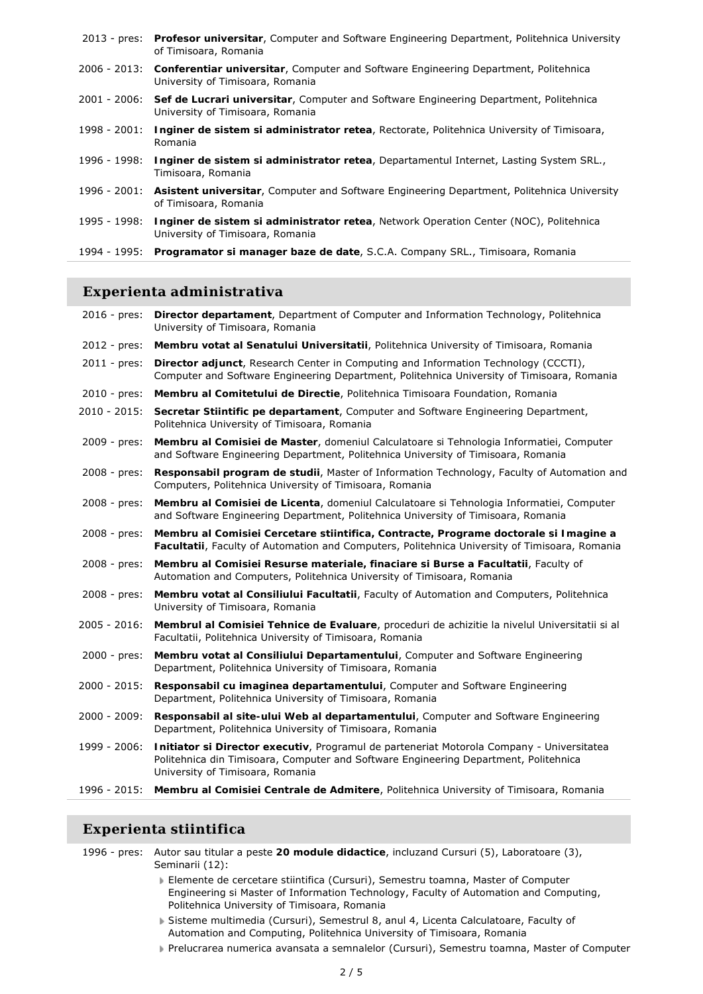|              | 2013 - pres: Profesor universitar, Computer and Software Engineering Department, Politehnica University<br>of Timisoara, Romania       |
|--------------|----------------------------------------------------------------------------------------------------------------------------------------|
|              | 2006 - 2013: Conferentiar universitar, Computer and Software Engineering Department, Politehnica<br>University of Timisoara, Romania   |
|              | 2001 - 2006: Sef de Lucrari universitar, Computer and Software Engineering Department, Politehnica<br>University of Timisoara, Romania |
| 1998 - 2001: | Inginer de sistem si administrator retea, Rectorate, Politehnica University of Timisoara,<br>Romania                                   |
| 1996 - 1998: | Inginer de sistem si administrator retea, Departamentul Internet, Lasting System SRL.,<br>Timisoara, Romania                           |
|              | 1996 - 2001: Asistent universitar, Computer and Software Engineering Department, Politehnica University<br>of Timisoara, Romania       |
| 1995 - 1998: | Inginer de sistem si administrator retea, Network Operation Center (NOC), Politehnica<br>University of Timisoara, Romania              |
|              | 1994 - 1995: Programator si manager baze de date, S.C.A. Company SRL., Timisoara, Romania                                              |
|              |                                                                                                                                        |

## **Experienta administrativa**

|                 | 2016 - pres: Director departament, Department of Computer and Information Technology, Politehnica<br>University of Timisoara, Romania                                                                                 |
|-----------------|-----------------------------------------------------------------------------------------------------------------------------------------------------------------------------------------------------------------------|
| $2012 - pres:$  | Membru votat al Senatului Universitatii, Politehnica University of Timisoara, Romania                                                                                                                                 |
| $2011 - pres:$  | Director adjunct, Research Center in Computing and Information Technology (CCCTI),<br>Computer and Software Engineering Department, Politehnica University of Timisoara, Romania                                      |
| $2010 - pres:$  | Membru al Comitetului de Directie, Politehnica Timisoara Foundation, Romania                                                                                                                                          |
| 2010 - 2015:    | Secretar Stiintific pe departament, Computer and Software Engineering Department,<br>Politehnica University of Timisoara, Romania                                                                                     |
| 2009 - pres:    | Membru al Comisiei de Master, domeniul Calculatoare si Tehnologia Informatiei, Computer<br>and Software Engineering Department, Politehnica University of Timisoara, Romania                                          |
| $2008 - pres:$  | Responsabil program de studii, Master of Information Technology, Faculty of Automation and<br>Computers, Politehnica University of Timisoara, Romania                                                                 |
| $2008 - pres:$  | Membru al Comisiei de Licenta, domeniul Calculatoare si Tehnologia Informatiei, Computer<br>and Software Engineering Department, Politehnica University of Timisoara, Romania                                         |
| $2008 - pres:$  | Membru al Comisiei Cercetare stiintifica, Contracte, Programe doctorale si Imagine a<br>Facultatii, Faculty of Automation and Computers, Politehnica University of Timisoara, Romania                                 |
| $2008 - pres:$  | Membru al Comisiei Resurse materiale, finaciare si Burse a Facultatii, Faculty of<br>Automation and Computers, Politehnica University of Timisoara, Romania                                                           |
| 2008 - pres:    | Membru votat al Consiliului Facultatii, Faculty of Automation and Computers, Politehnica<br>University of Timisoara, Romania                                                                                          |
| $2005 - 2016$ : | Membrul al Comisiei Tehnice de Evaluare, proceduri de achizitie la nivelul Universitatii si al<br>Facultatii, Politehnica University of Timisoara, Romania                                                            |
| $2000 - pres:$  | Membru votat al Consiliului Departamentului, Computer and Software Engineering<br>Department, Politehnica University of Timisoara, Romania                                                                            |
| 2000 - 2015:    | Responsabil cu imaginea departamentului, Computer and Software Engineering<br>Department, Politehnica University of Timisoara, Romania                                                                                |
| $2000 - 2009$ : | Responsabil al site-ului Web al departamentului, Computer and Software Engineering<br>Department, Politehnica University of Timisoara, Romania                                                                        |
| 1999 - 2006:    | Initiator si Director executiv, Programul de parteneriat Motorola Company - Universitatea<br>Politehnica din Timisoara, Computer and Software Engineering Department, Politehnica<br>University of Timisoara, Romania |
|                 | 1996 - 2015: Membru al Comisiei Centrale de Admitere, Politehnica University of Timisoara, Romania                                                                                                                    |

## **Experienta stiintifica**

1996 - pres: Autor sau titular a peste **20 module didactice**, incluzand Cursuri (5), Laboratoare (3), Seminarii (12): *Elemente de cercetare stiintifica* (Cursuri), Semestru toamna, Master of Computer Engineering si Master of Information Technology, Faculty of Automation and Computing, Politehnica University of Timisoara, Romania

- *Sisteme multimedia* (Cursuri), Semestrul 8, anul 4, Licenta Calculatoare, Faculty of Automation and Computing, Politehnica University of Timisoara, Romania
- *Prelucrarea numerica avansata a semnalelor* (Cursuri), Semestru toamna, Master of Computer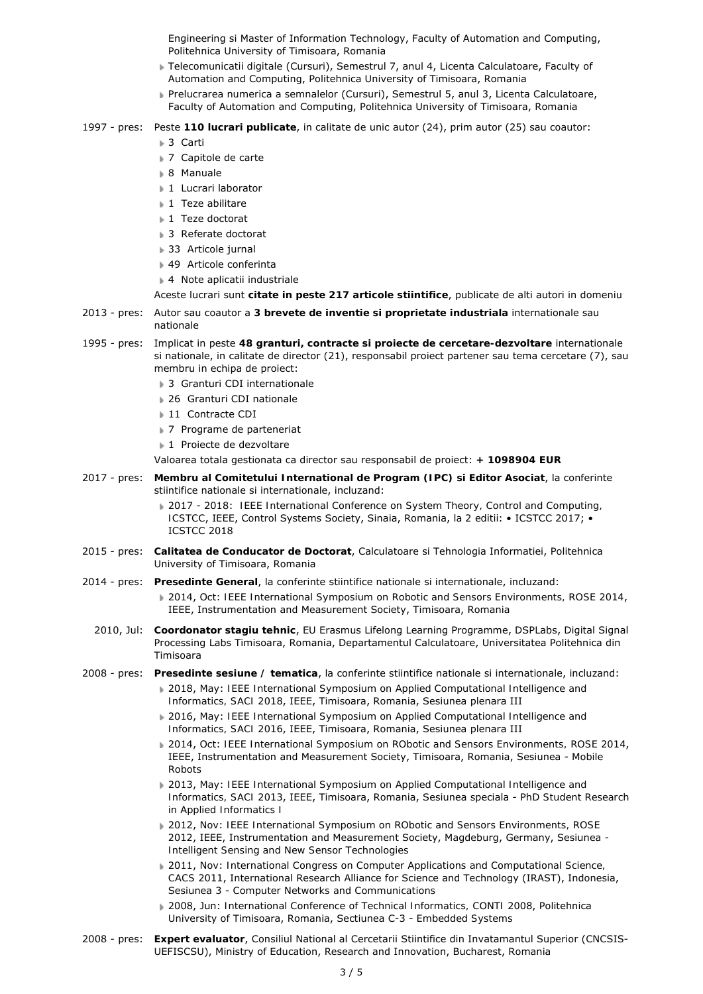Engineering si Master of Information Technology, Faculty of Automation and Computing, Politehnica University of Timisoara, Romania

- *Telecomunicatii digitale* (Cursuri), Semestrul 7, anul 4, Licenta Calculatoare, Faculty of Automation and Computing, Politehnica University of Timisoara, Romania
- *Prelucrarea numerica a semnalelor* (Cursuri), Semestrul 5, anul 3, Licenta Calculatoare, Faculty of Automation and Computing, Politehnica University of Timisoara, Romania
- 1997 pres: Peste **110 lucrari publicate**, in calitate de unic autor (24), prim autor (25) sau coautor:
	- 3 Carti
	- ▶ 7 Capitole de carte
	- 8 Manuale
	- 1 Lucrari laborator
	- ▶ 1 Teze abilitare
	- **1 Teze doctorat**
	- **3 Referate doctorat**
	- **33 Articole jurnal**
	- ▶ 49 Articole conferinta
	- ▶ 4 Note aplicatii industriale
	- Aceste lucrari sunt **citate in peste 217 articole stiintifice**, publicate de alti autori in domeniu
- 2013 pres: Autor sau coautor a **3 brevete de inventie si proprietate industriala** internationale sau nationale
- 1995 pres: Implicat in peste **48 granturi, contracte si proiecte de cercetare-dezvoltare** internationale si nationale, in calitate de director (21), responsabil proiect partener sau tema cercetare (7), sau membru in echipa de proiect:
	- **3 Granturi CDI internationale**
	- **126 Granturi CDI nationale**
	- ▶ 11 Contracte CDI
	- **▶ 7 Programe de parteneriat**
	- **1** Proiecte de dezvoltare

Valoarea totala gestionata ca director sau responsabil de proiect: **+ 1098904 EUR**

- 2017 pres: **Membru al Comitetului International de Program (IPC) si Editor Asociat**, la conferinte stiintifice nationale si internationale, incluzand:
	- 2017 2018: *IEEE International Conference on System Theory, Control and Computing, ICSTCC*, IEEE, Control Systems Society, Sinaia, Romania, *la 2 editii*: • ICSTCC 2017; • ICSTCC 2018
- 2015 pres: **Calitatea de Conducator de Doctorat**, Calculatoare si Tehnologia Informatiei, Politehnica University of Timisoara, Romania
- 2014 pres: **Presedinte General**, la conferinte stiintifice nationale si internationale, incluzand: 2014, Oct: *IEEE International Symposium on Robotic and Sensors Environments, ROSE 2014*, IEEE, Instrumentation and Measurement Society, Timisoara, Romania
	- 2010, Jul: **Coordonator stagiu tehnic**, EU Erasmus Lifelong Learning Programme, DSPLabs, Digital Signal Processing Labs Timisoara, Romania, Departamentul Calculatoare, Universitatea Politehnica din Timisoara
- 2008 pres: **Presedinte sesiune / tematica**, la conferinte stiintifice nationale si internationale, incluzand:
	- 2018, May: *IEEE International Symposium on Applied Computational Intelligence and Informatics, SACI 2018*, IEEE, Timisoara, Romania, Sesiunea plenara III
	- 2016, May: *IEEE International Symposium on Applied Computational Intelligence and Informatics, SACI 2016*, IEEE, Timisoara, Romania, Sesiunea plenara III
	- 2014, Oct: *IEEE International Symposium on RObotic and Sensors Environments, ROSE 2014*, IEEE, Instrumentation and Measurement Society, Timisoara, Romania, Sesiunea - *Mobile Robots*
	- 2013, May: *IEEE International Symposium on Applied Computational Intelligence and Informatics, SACI 2013*, IEEE, Timisoara, Romania, Sesiunea speciala - *PhD Student Research in Applied Informatics I*
	- 2012, Nov: *IEEE International Symposium on RObotic and Sensors Environments, ROSE 2012*, IEEE, Instrumentation and Measurement Society, Magdeburg, Germany, Sesiunea - *Intelligent Sensing and New Sensor Technologies*
	- 2011, Nov: *International Congress on Computer Applications and Computational Science, CACS 2011*, International Research Alliance for Science and Technology (IRAST), Indonesia, Sesiunea 3 - *Computer Networks and Communications*
	- 2008, Jun: *International Conference of Technical Informatics, CONTI 2008*, Politehnica University of Timisoara, Romania, Sectiunea C-3 - *Embedded Systems*
- 2008 pres: **Expert evaluator**, Consiliul National al Cercetarii Stiintifice din Invatamantul Superior (CNCSIS-UEFISCSU), Ministry of Education, Research and Innovation, Bucharest, Romania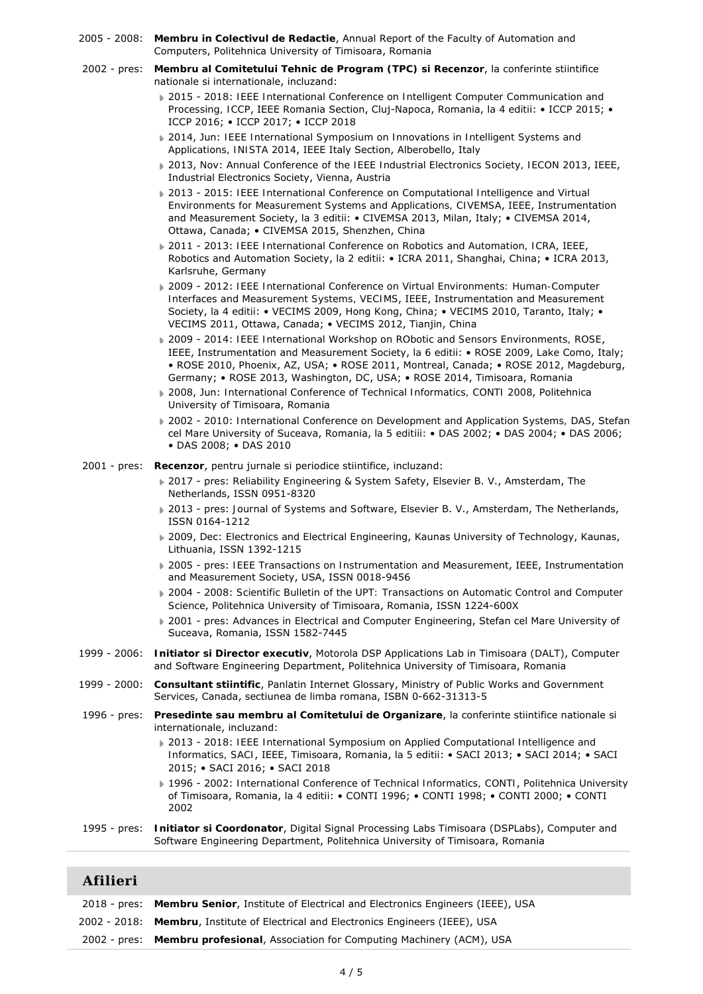- 2005 2008: **Membru in Colectivul de Redactie**, Annual Report of the Faculty of Automation and Computers, Politehnica University of Timisoara, Romania
- 2002 pres: **Membru al Comitetului Tehnic de Program (TPC) si Recenzor**, la conferinte stiintifice nationale si internationale, incluzand:
	- 2015 2018: *IEEE International Conference on Intelligent Computer Communication and Processing, ICCP*, IEEE Romania Section, Cluj-Napoca, Romania, *la 4 editii*: • ICCP 2015; • ICCP 2016; • ICCP 2017; • ICCP 2018
	- 2014, Jun: *IEEE International Symposium on Innovations in Intelligent Systems and Applications, INISTA 2014*, IEEE Italy Section, Alberobello, Italy
	- 2013, Nov: *Annual Conference of the IEEE Industrial Electronics Society, IECON 2013*, IEEE, Industrial Electronics Society, Vienna, Austria
	- 2013 2015: *IEEE International Conference on Computational Intelligence and Virtual Environments for Measurement Systems and Applications, CIVEMSA*, IEEE, Instrumentation and Measurement Society, *la 3 editii*: • CIVEMSA 2013, Milan, Italy; • CIVEMSA 2014, Ottawa, Canada; • CIVEMSA 2015, Shenzhen, China
	- 2011 2013: *IEEE International Conference on Robotics and Automation, ICRA*, IEEE, Robotics and Automation Society, *la 2 editii*: • ICRA 2011, Shanghai, China; • ICRA 2013, Karlsruhe, Germany
	- 2009 2012: *IEEE International Conference on Virtual Environments: Human-Computer Interfaces and Measurement Systems, VECIMS*, IEEE, Instrumentation and Measurement Society, *la 4 editii*: • VECIMS 2009, Hong Kong, China; • VECIMS 2010, Taranto, Italy; • VECIMS 2011, Ottawa, Canada; • VECIMS 2012, Tianjin, China
	- 2009 2014: *IEEE International Workshop on RObotic and Sensors Environments, ROSE*, IEEE, Instrumentation and Measurement Society, *la 6 editii*: • ROSE 2009, Lake Como, Italy; • ROSE 2010, Phoenix, AZ, USA; • ROSE 2011, Montreal, Canada; • ROSE 2012, Magdeburg, Germany; • ROSE 2013, Washington, DC, USA; • ROSE 2014, Timisoara, Romania
	- 2008, Jun: *International Conference of Technical Informatics, CONTI 2008*, Politehnica University of Timisoara, Romania
	- 2002 2010: *International Conference on Development and Application Systems, DAS*, Stefan cel Mare University of Suceava, Romania, *la 5 editiii*: • DAS 2002; • DAS 2004; • DAS 2006; • DAS 2008; • DAS 2010
- 2001 pres: **Recenzor**, pentru jurnale si periodice stiintifice, incluzand:
	- 2017 pres: *Reliability Engineering & System Safety*, Elsevier B. V., Amsterdam, The Netherlands, ISSN 0951-8320
	- 2013 pres: *Journal of Systems and Software*, Elsevier B. V., Amsterdam, The Netherlands, ISSN 0164-1212
	- 2009, Dec: *Electronics and Electrical Engineering*, Kaunas University of Technology, Kaunas, Lithuania, ISSN 1392-1215
	- 2005 pres: *IEEE Transactions on Instrumentation and Measurement*, IEEE, Instrumentation and Measurement Society, USA, ISSN 0018-9456
	- 2004 2008: *Scientific Bulletin of the UPT: Transactions on Automatic Control and Computer Science*, Politehnica University of Timisoara, Romania, ISSN 1224-600X
	- 2001 pres: *Advances in Electrical and Computer Engineering*, Stefan cel Mare University of Suceava, Romania, ISSN 1582-7445
- 1999 2006: **Initiator si Director executiv**, Motorola DSP Applications Lab in Timisoara (DALT), Computer and Software Engineering Department, Politehnica University of Timisoara, Romania
- 1999 2000: **Consultant stiintific**, Panlatin Internet Glossary, Ministry of Public Works and Government Services, Canada, sectiunea de limba romana, ISBN 0-662-31313-5
- 1996 pres: **Presedinte sau membru al Comitetului de Organizare**, la conferinte stiintifice nationale si internationale, incluzand:
	- 2013 2018: *IEEE International Symposium on Applied Computational Intelligence and Informatics, SACI*, IEEE, Timisoara, Romania, *la 5 editii*: • SACI 2013; • SACI 2014; • SACI 2015; • SACI 2016; • SACI 2018
	- 1996 2002: *International Conference of Technical Informatics, CONTI*, Politehnica University of Timisoara, Romania, *la 4 editii*: • CONTI 1996; • CONTI 1998; • CONTI 2000; • CONTI 2002
- 1995 pres: **Initiator si Coordonator**, Digital Signal Processing Labs Timisoara (DSPLabs), Computer and Software Engineering Department, Politehnica University of Timisoara, Romania

#### **Afilieri**

| 2018 - pres: Membru Senior, Institute of Electrical and Electronics Engineers (IEEE), USA |
|-------------------------------------------------------------------------------------------|
| 2002 - 2018: Membru, Institute of Electrical and Electronics Engineers (IEEE), USA        |
| 2002 - pres: Membru profesional, Association for Computing Machinery (ACM), USA           |